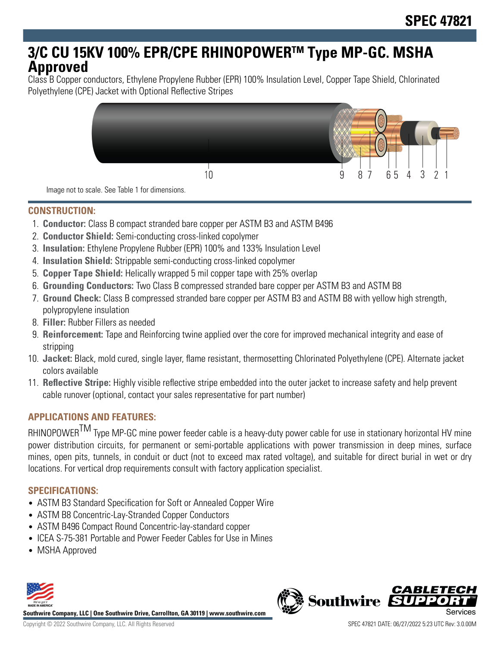# **3/C CU 15KV 100% EPR/CPE RHINOPOWERTM Type MP-GC. MSHA Approved**

Class B Copper conductors, Ethylene Propylene Rubber (EPR) 100% Insulation Level, Copper Tape Shield, Chlorinated Polyethylene (CPE) Jacket with Optional Reflective Stripes



Image not to scale. See Table 1 for dimensions.

### **CONSTRUCTION:**

- 1. **Conductor:** Class B compact stranded bare copper per ASTM B3 and ASTM B496
- 2. **Conductor Shield:** Semi-conducting cross-linked copolymer
- 3. **Insulation:** Ethylene Propylene Rubber (EPR) 100% and 133% Insulation Level
- 4. **Insulation Shield:** Strippable semi-conducting cross-linked copolymer
- 5. **Copper Tape Shield:** Helically wrapped 5 mil copper tape with 25% overlap
- 6. **Grounding Conductors:** Two Class B compressed stranded bare copper per ASTM B3 and ASTM B8
- 7. **Ground Check:** Class B compressed stranded bare copper per ASTM B3 and ASTM B8 with yellow high strength, polypropylene insulation
- 8. **Filler:** Rubber Fillers as needed
- 9. **Reinforcement:** Tape and Reinforcing twine applied over the core for improved mechanical integrity and ease of stripping
- 10. **Jacket:** Black, mold cured, single layer, flame resistant, thermosetting Chlorinated Polyethylene (CPE). Alternate jacket colors available
- 11. **Reflective Stripe:** Highly visible reflective stripe embedded into the outer jacket to increase safety and help prevent cable runover (optional, contact your sales representative for part number)

# **APPLICATIONS AND FEATURES:**

RHINOPOWER<sup>TM</sup> Type MP-GC mine power feeder cable is a heavy-duty power cable for use in stationary horizontal HV mine power distribution circuits, for permanent or semi-portable applications with power transmission in deep mines, surface mines, open pits, tunnels, in conduit or duct (not to exceed max rated voltage), and suitable for direct burial in wet or dry locations. For vertical drop requirements consult with factory application specialist.

# **SPECIFICATIONS:**

- ASTM B3 Standard Specification for Soft or Annealed Copper Wire
- ASTM B8 Concentric-Lay-Stranded Copper Conductors
- ASTM B496 Compact Round Concentric-lay-standard copper
- ICEA S-75-381 Portable and Power Feeder Cables for Use in Mines
- MSHA Approved



**Southwire Company, LLC | One Southwire Drive, Carrollton, GA 30119 | www.southwire.com**

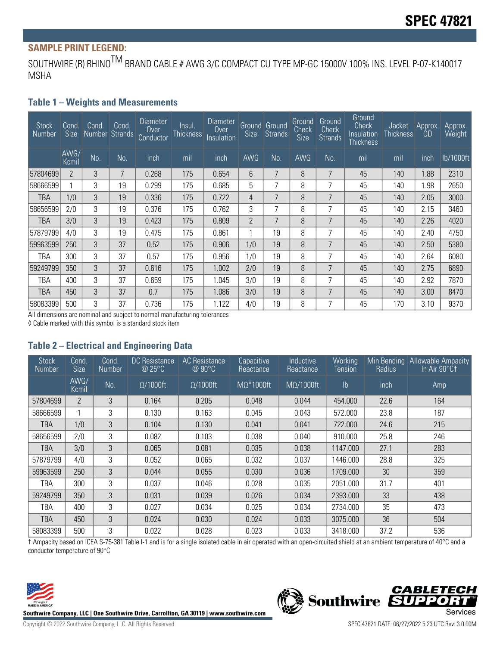# **SAMPLE PRINT LEGEND:**

SOUTHWIRE (R) RHINO<sup>TM</sup> BRAND CABLE # AWG 3/C COMPACT CU TYPE MP-GC 15000V 100% INS. LEVEL P-07-K140017 MSHA

#### **Table 1 – Weights and Measurements**

| <b>Stock</b><br>Number | Cond.<br><b>Size</b> | Cond | Cond.<br>Number Strands | Diameter<br><b>Over</b><br>Conductor | Insul.<br><b>Thickness</b> | Diameter<br><b>Over</b><br>Insulation | <b>Size</b>    | <b>Ground</b> Ground<br>Strands | Ground<br>Check<br>Size | Ground<br>Check<br><b>Strands</b> | Ground<br><b>Check</b><br>Insulation<br>Thickness | Jacket<br><b>Thickness</b> | Approx.<br><b>OD</b> | Approx.<br>Weight |
|------------------------|----------------------|------|-------------------------|--------------------------------------|----------------------------|---------------------------------------|----------------|---------------------------------|-------------------------|-----------------------------------|---------------------------------------------------|----------------------------|----------------------|-------------------|
|                        | AWG/<br>Kcmil        | No.  | No.                     | inch                                 | mil                        | inch                                  | <b>AWG</b>     | No.                             | <b>AWG</b>              | No.                               | mil                                               | mil                        | inch                 | lb/1000ft         |
| 57804699               | $\overline{2}$       | 3    | 7                       | 0.268                                | 175                        | 0.654                                 | 6              | 7                               | 8                       | 7                                 | 45                                                | 140                        | 1.88                 | 2310              |
| 58666599               |                      | 3    | 19                      | 0.299                                | 175                        | 0.685                                 | 5              | 7                               | 8                       | 7                                 | 45                                                | 140                        | 1.98                 | 2650              |
| <b>TBA</b>             | 1/0                  | 3    | 19                      | 0.336                                | 175                        | 0.722                                 | 4              | 7                               | 8                       | $\overline{7}$                    | 45                                                | 140                        | 2.05                 | 3000              |
| 58656599               | 2/0                  | 3    | 19                      | 0.376                                | 175                        | 0.762                                 | 3              | ⇁                               | 8                       | 7                                 | 45                                                | 140                        | 2.15                 | 3460              |
| TBA                    | 3/0                  | 3    | 19                      | 0.423                                | 175                        | 0.809                                 | $\overline{2}$ | 7                               | 8                       | 7                                 | 45                                                | 140                        | 2.26                 | 4020              |
| 57879799               | 4/0                  | 3    | 19                      | 0.475                                | 175                        | 0.861                                 | 1              | 19                              | 8                       | 7                                 | 45                                                | 140                        | 2.40                 | 4750              |
| 59963599               | 250                  | 3    | 37                      | 0.52                                 | 175                        | 0.906                                 | 1/0            | 19                              | 8                       | 7                                 | 45                                                | 140                        | 2.50                 | 5380              |
| TBA                    | 300                  | 3    | 37                      | 0.57                                 | 175                        | 0.956                                 | 1/0            | 19                              | 8                       | 7                                 | 45                                                | 140                        | 2.64                 | 6080              |
| 59249799               | 350                  | 3    | 37                      | 0.616                                | 175                        | 1.002                                 | 2/0            | 19                              | 8                       | 7                                 | 45                                                | 140                        | 2.75                 | 6890              |
| TBA                    | 400                  | 3    | 37                      | 0.659                                | 175                        | 1.045                                 | 3/0            | 19                              | 8                       | 7                                 | 45                                                | 140                        | 2.92                 | 7870              |
| TBA                    | 450                  | 3    | 37                      | 0.7                                  | 175                        | 1.086                                 | 3/0            | 19                              | 8                       | 7                                 | 45                                                | 140                        | 3.00                 | 8470              |
| 58083399               | 500                  | 3    | 37                      | 0.736                                | 175                        | 1.122                                 | 4/0            | 19                              | 8                       | 7                                 | 45                                                | 170                        | 3.10                 | 9370              |

All dimensions are nominal and subject to normal manufacturing tolerances

◊ Cable marked with this symbol is a standard stock item

#### **Table 2 – Electrical and Engineering Data**

| <b>Stock</b><br>Number | Cond.<br><b>Size</b> | Cond.<br><b>Number</b> | <b>DC</b> Resistance<br>@ 25°C | <b>AC</b> Resistance<br>@ 90°C | Capacitive<br>Reactance | Inductive<br>Reactance | Working<br><b>Tension</b> | Min Bending<br>Radius | <b>Allowable Ampacity</b><br>In Air 90°Ct |
|------------------------|----------------------|------------------------|--------------------------------|--------------------------------|-------------------------|------------------------|---------------------------|-----------------------|-------------------------------------------|
|                        | AWG/<br>Kcmil        | No.                    | $\Omega/1000$ ft               | $\Omega/1000$ ft               | $M\Omega^*1000$ ft      | $M\Omega/1000$ ft      | $\mathsf{lb}$             | inch                  | Amp                                       |
| 57804699               | $\overline{2}$       | 3                      | 0.164                          | 0.205                          | 0.048                   | 0.044                  | 454.000                   | 22.6                  | 164                                       |
| 58666599               | 1                    | 3                      | 0.130                          | 0.163                          | 0.045                   | 0.043                  | 572.000                   | 23.8                  | 187                                       |
| TBA                    | 1/0                  | 3                      | 0.104                          | 0.130                          | 0.041                   | 0.041                  | 722.000                   | 24.6                  | 215                                       |
| 58656599               | 2/0                  | 3                      | 0.082                          | 0.103                          | 0.038                   | 0.040                  | 910.000                   | 25.8                  | 246                                       |
| TBA                    | 3/0                  | 3                      | 0.065                          | 0.081                          | 0.035                   | 0.038                  | 1147.000                  | 27.1                  | 283                                       |
| 57879799               | 4/0                  | 3                      | 0.052                          | 0.065                          | 0.032                   | 0.037                  | 1446.000                  | 28.8                  | 325                                       |
| 59963599               | 250                  | 3                      | 0.044                          | 0.055                          | 0.030                   | 0.036                  | 1709.000                  | 30                    | 359                                       |
| TBA                    | 300                  | 3                      | 0.037                          | 0.046                          | 0.028                   | 0.035                  | 2051.000                  | 31.7                  | 401                                       |
| 59249799               | 350                  | 3                      | 0.031                          | 0.039                          | 0.026                   | 0.034                  | 2393.000                  | 33                    | 438                                       |
| TBA                    | 400                  | 3                      | 0.027                          | 0.034                          | 0.025                   | 0.034                  | 2734.000                  | 35                    | 473                                       |
| TBA                    | 450                  | 3                      | 0.024                          | 0.030                          | 0.024                   | 0.033                  | 3075.000                  | 36                    | 504                                       |
| 58083399               | 500                  | 3                      | 0.022                          | 0.028                          | 0.023                   | 0.033                  | 3418.000                  | 37.2                  | 536                                       |

† Ampacity based on ICEA S-75-381 Table I-1 and is for a single isolated cable in air operated with an open-circuited shield at an ambient temperature of 40°C and a conductor temperature of 90°C



Southwire Company, LLC | One Southwire Drive, Carrollton, GA 30119 | www.southwire.com<br>Services

**CABLETECH** 

OI: